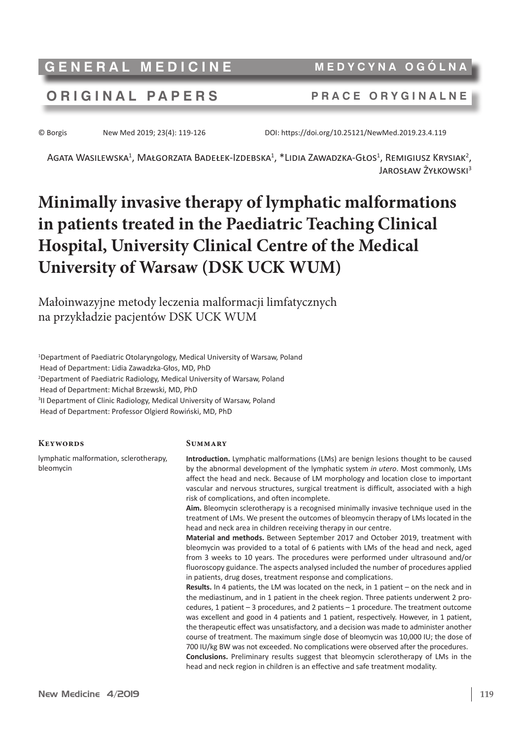**GENERAL MEDICINE MEDYCYNA OGÓLNA**

## **ORIGINAL PAPERS PRACE ORYGINALNE**

© Borgis New Med 2019; 23(4): 119-126 DOI: https://doi.org/10.25121/NewMed.2019.23.4.119

Agata Wasilewska $^1$ , Małgorzata Badełek-Izdebska $^1$ , \*Lidia Zawadzka-Głos $^1$ , Remigiusz Krysiak $^2$ , Jarosław Żyłkowski<sup>3</sup>

# **Minimally invasive therapy of lymphatic malformations in patients treated in the Paediatric Teaching Clinical Hospital, University Clinical Centre of the Medical University of Warsaw (DSK UCK WUM)**

Małoinwazyjne metody leczenia malformacji limfatycznych na przykładzie pacjentów DSK UCK WUM

1 Department of Paediatric Otolaryngology, Medical University of Warsaw, Poland Head of Department: Lidia Zawadzka-Głos, MD, PhD 2 Department of Paediatric Radiology, Medical University of Warsaw, Poland Head of Department: Michał Brzewski, MD, PhD <sup>3</sup>II Department of Clinic Radiology, Medical University of Warsaw, Poland Head of Department: Professor Olgierd Rowiński, MD, PhD

#### **Keywords**

lymphatic malformation, sclerotherapy, bleomycin

#### **Summary**

**Introduction.** Lymphatic malformations (LMs) are benign lesions thought to be caused by the abnormal development of the lymphatic system *in utero*. Most commonly, LMs affect the head and neck. Because of LM morphology and location close to important vascular and nervous structures, surgical treatment is difficult, associated with a high risk of complications, and often incomplete.

**Aim.** Bleomycin sclerotherapy is a recognised minimally invasive technique used in the treatment of LMs. We present the outcomes of bleomycin therapy of LMs located in the head and neck area in children receiving therapy in our centre.

**Material and methods.** Between September 2017 and October 2019, treatment with bleomycin was provided to a total of 6 patients with LMs of the head and neck, aged from 3 weeks to 10 years. The procedures were performed under ultrasound and/or fluoroscopy guidance. The aspects analysed included the number of procedures applied in patients, drug doses, treatment response and complications.

**Results.** In 4 patients, the LM was located on the neck, in 1 patient – on the neck and in the mediastinum, and in 1 patient in the cheek region. Three patients underwent 2 procedures, 1 patient – 3 procedures, and 2 patients – 1 procedure. The treatment outcome was excellent and good in 4 patients and 1 patient, respectively. However, in 1 patient, the therapeutic effect was unsatisfactory, and a decision was made to administer another course of treatment. The maximum single dose of bleomycin was 10,000 IU; the dose of 700 IU/kg BW was not exceeded. No complications were observed after the procedures. **Conclusions.** Preliminary results suggest that bleomycin sclerotherapy of LMs in the head and neck region in children is an effective and safe treatment modality.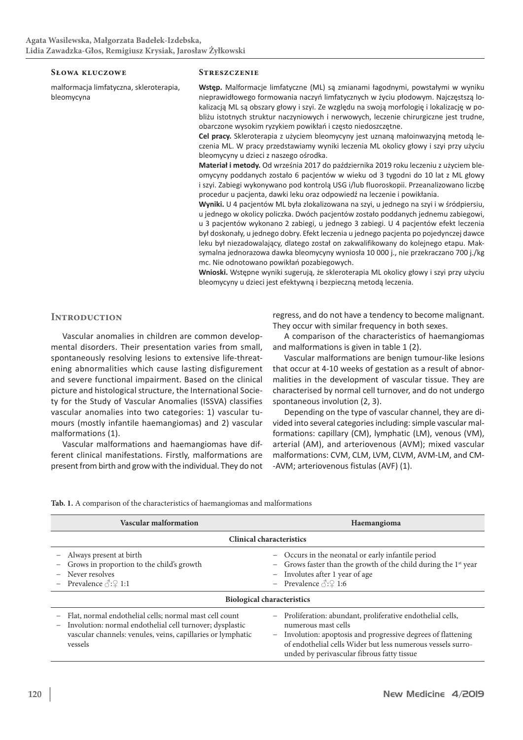#### **Słowa kluczowe**

malformacja limfatyczna, skleroterapia, bleomycyna

#### **Streszczenie**

**Wstęp.** Malformacje limfatyczne (ML) są zmianami łagodnymi, powstałymi w wyniku nieprawidłowego formowania naczyń limfatycznych w życiu płodowym. Najczęstszą lokalizacją ML są obszary głowy i szyi. Ze względu na swoją morfologię i lokalizację w pobliżu istotnych struktur naczyniowych i nerwowych, leczenie chirurgiczne jest trudne, obarczone wysokim ryzykiem powikłań i często niedoszczętne.

**Cel pracy.** Skleroterapia z użyciem bleomycyny jest uznaną małoinwazyjną metodą leczenia ML. W pracy przedstawiamy wyniki leczenia ML okolicy głowy i szyi przy użyciu bleomycyny u dzieci z naszego ośrodka.

**Materiał i metody.** Od września 2017 do października 2019 roku leczeniu z użyciem bleomycyny poddanych zostało 6 pacjentów w wieku od 3 tygodni do 10 lat z ML głowy i szyi. Zabiegi wykonywano pod kontrolą USG i/lub fluoroskopii. Przeanalizowano liczbę procedur u pacjenta, dawki leku oraz odpowiedź na leczenie i powikłania.

**Wyniki.** U 4 pacjentów ML była zlokalizowana na szyi, u jednego na szyi i w śródpiersiu, u jednego w okolicy policzka. Dwóch pacjentów zostało poddanych jednemu zabiegowi, u 3 pacjentów wykonano 2 zabiegi, u jednego 3 zabiegi. U 4 pacjentów efekt leczenia był doskonały, u jednego dobry. Efekt leczenia u jednego pacjenta po pojedynczej dawce leku był niezadowalający, dlatego został on zakwalifikowany do kolejnego etapu. Maksymalna jednorazowa dawka bleomycyny wyniosła 10 000 j., nie przekraczano 700 j./kg mc. Nie odnotowano powikłań pozabiegowych.

**Wnioski.** Wstępne wyniki sugerują, że skleroterapia ML okolicy głowy i szyi przy użyciu bleomycyny u dzieci jest efektywną i bezpieczną metodą leczenia.

#### **Introduction**

Vascular anomalies in children are common developmental disorders. Their presentation varies from small, spontaneously resolving lesions to extensive life-threatening abnormalities which cause lasting disfigurement and severe functional impairment. Based on the clinical picture and histological structure, the International Society for the Study of Vascular Anomalies (ISSVA) classifies vascular anomalies into two categories: 1) vascular tumours (mostly infantile haemangiomas) and 2) vascular malformations (1).

Vascular malformations and haemangiomas have different clinical manifestations. Firstly, malformations are present from birth and grow with the individual. They do not

regress, and do not have a tendency to become malignant. They occur with similar frequency in both sexes.

A comparison of the characteristics of haemangiomas and malformations is given in table 1 (2).

Vascular malformations are benign tumour-like lesions that occur at 4-10 weeks of gestation as a result of abnormalities in the development of vascular tissue. They are characterised by normal cell turnover, and do not undergo spontaneous involution (2, 3).

Depending on the type of vascular channel, they are divided into several categories including: simple vascular malformations: capillary (CM), lymphatic (LM), venous (VM), arterial (AM), and arteriovenous (AVM); mixed vascular malformations: CVM, CLM, LVM, CLVM, AVM-LM, and CM- -AVM; arteriovenous fistulas (AVF) (1).

| <b>Vascular malformation</b>                                                                                                                                                                                             | Haemangioma                                                                                                                                                                                                                                                                |
|--------------------------------------------------------------------------------------------------------------------------------------------------------------------------------------------------------------------------|----------------------------------------------------------------------------------------------------------------------------------------------------------------------------------------------------------------------------------------------------------------------------|
| <b>Clinical characteristics</b>                                                                                                                                                                                          |                                                                                                                                                                                                                                                                            |
| Always present at birth<br>Grows in proportion to the child's growth<br>Never resolves<br>Prevalence $\Diamond$ : $\Diamond$ 1:1                                                                                         | Occurs in the neonatal or early infantile period<br>$ \,$<br>Grows faster than the growth of the child during the 1 <sup>st</sup> year<br>Involutes after 1 year of age<br>$-$<br>Prevalence $\Diamond$ : $\Diamond$ 1:6                                                   |
| <b>Biological characteristics</b>                                                                                                                                                                                        |                                                                                                                                                                                                                                                                            |
| Flat, normal endothelial cells; normal mast cell count<br>Involution: normal endothelial cell turnover; dysplastic<br>$\overline{\phantom{0}}$<br>vascular channels: venules, veins, capillaries or lymphatic<br>vessels | Proliferation: abundant, proliferative endothelial cells,<br>$-$<br>numerous mast cells<br>Involution: apoptosis and progressive degrees of flattening<br>$-$<br>of endothelial cells Wider but less numerous vessels surro-<br>unded by perivascular fibrous fatty tissue |

**Tab. 1.** A comparison of the characteristics of haemangiomas and malformations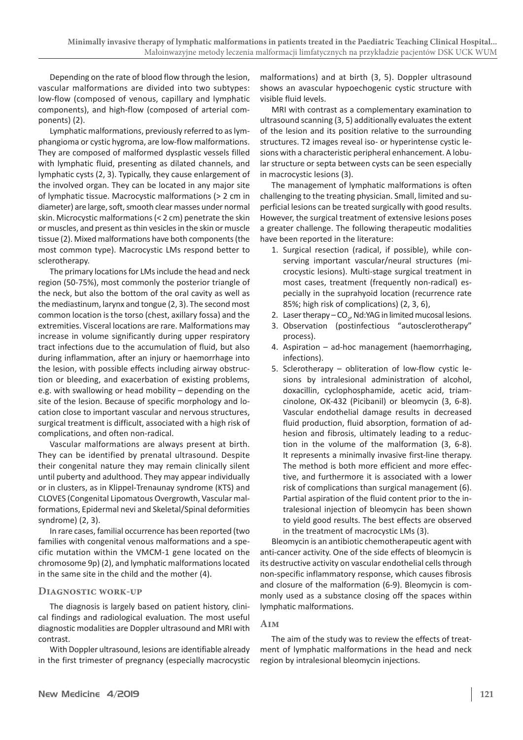Depending on the rate of blood flow through the lesion, vascular malformations are divided into two subtypes: low-flow (composed of venous, capillary and lymphatic components), and high-flow (composed of arterial components) (2).

Lymphatic malformations, previously referred to as lymphangioma or cystic hygroma, are low-flow malformations. They are composed of malformed dysplastic vessels filled with lymphatic fluid, presenting as dilated channels, and lymphatic cysts (2, 3). Typically, they cause enlargement of the involved organ. They can be located in any major site of lymphatic tissue. Macrocystic malformations (> 2 cm in diameter) are large, soft, smooth clear masses under normal skin. Microcystic malformations(< 2 cm) penetrate the skin or muscles, and present as thin vesicles in the skin or muscle tissue (2). Mixed malformations have both components(the most common type). Macrocystic LMs respond better to sclerotherapy.

The primary locations for LMs include the head and neck region (50-75%), most commonly the posterior triangle of the neck, but also the bottom of the oral cavity as well as the mediastinum, larynx and tongue (2, 3). The second most common location is the torso (chest, axillary fossa) and the extremities. Visceral locations are rare. Malformations may increase in volume significantly during upper respiratory tract infections due to the accumulation of fluid, but also during inflammation, after an injury or haemorrhage into the lesion, with possible effects including airway obstruction or bleeding, and exacerbation of existing problems, e.g. with swallowing or head mobility – depending on the site of the lesion. Because of specific morphology and location close to important vascular and nervous structures, surgical treatment is difficult, associated with a high risk of complications, and often non-radical.

Vascular malformations are always present at birth. They can be identified by prenatal ultrasound. Despite their congenital nature they may remain clinically silent until puberty and adulthood. They may appear individually or in clusters, as in Klippel-Trenaunay syndrome (KTS) and CLOVES (Congenital Lipomatous Overgrowth, Vascular malformations, Epidermal nevi and Skeletal/Spinal deformities syndrome) (2, 3).

In rare cases, familial occurrence has been reported (two families with congenital venous malformations and a specific mutation within the VMCM-1 gene located on the chromosome 9p) (2), and lymphatic malformations located in the same site in the child and the mother (4).

#### **Diagnostic work-up**

The diagnosis is largely based on patient history, clinical findings and radiological evaluation. The most useful diagnostic modalities are Doppler ultrasound and MRI with contrast.

With Doppler ultrasound, lesions are identifiable already in the first trimester of pregnancy (especially macrocystic malformations) and at birth (3, 5). Doppler ultrasound shows an avascular hypoechogenic cystic structure with visible fluid levels.

MRI with contrast as a complementary examination to ultrasound scanning (3, 5) additionally evaluates the extent of the lesion and its position relative to the surrounding structures. T2 images reveal iso- or hyperintense cystic lesions with a characteristic peripheral enhancement. A lobular structure or septa between cysts can be seen especially in macrocystic lesions (3).

The management of lymphatic malformations is often challenging to the treating physician. Small, limited and superficial lesions can be treated surgically with good results. However, the surgical treatment of extensive lesions poses a greater challenge. The following therapeutic modalities have been reported in the literature:

- 1. Surgical resection (radical, if possible), while conserving important vascular/neural structures (microcystic lesions). Multi-stage surgical treatment in most cases, treatment (frequently non-radical) especially in the suprahyoid location (recurrence rate 85%; high risk of complications) (2, 3, 6),
- 2. Laser therapy  $CO_{2}$ , Nd:YAG in limited mucosal lesions.
- 3. Observation (postinfectious "autosclerotherapy" process).
- 4. Aspiration ad-hoc management (haemorrhaging, infections).
- 5. Sclerotherapy obliteration of low-flow cystic lesions by intralesional administration of alcohol, doxacillin, cyclophosphamide, acetic acid, triamcinolone, OK-432 (Picibanil) or bleomycin (3, 6-8). Vascular endothelial damage results in decreased fluid production, fluid absorption, formation of adhesion and fibrosis, ultimately leading to a reduction in the volume of the malformation (3, 6-8). It represents a minimally invasive first-line therapy. The method is both more efficient and more effective, and furthermore it is associated with a lower risk of complications than surgical management (6). Partial aspiration of the fluid content prior to the intralesional injection of bleomycin has been shown to yield good results. The best effects are observed in the treatment of macrocystic LMs (3).

Bleomycin is an antibiotic chemotherapeutic agent with anti-cancer activity. One of the side effects of bleomycin is its destructive activity on vascular endothelial cells through non-specific inflammatory response, which causes fibrosis and closure of the malformation (6-9). Bleomycin is commonly used as a substance closing off the spaces within lymphatic malformations.

#### **Aim**

The aim of the study was to review the effects of treatment of lymphatic malformations in the head and neck region by intralesional bleomycin injections.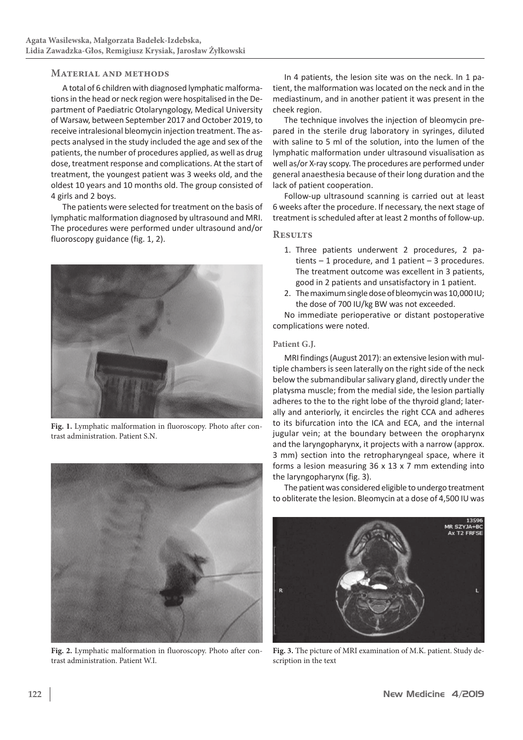### **Material and methods**

A total of 6 children with diagnosed lymphatic malformations in the head or neck region were hospitalised in the Department of Paediatric Otolaryngology, Medical University of Warsaw, between September 2017 and October 2019, to receive intralesional bleomycin injection treatment. The aspects analysed in the study included the age and sex of the patients, the number of procedures applied, as well as drug dose, treatment response and complications. At the start of treatment, the youngest patient was 3 weeks old, and the oldest 10 years and 10 months old. The group consisted of 4 girls and 2 boys.

The patients were selected for treatment on the basis of lymphatic malformation diagnosed by ultrasound and MRI. The procedures were performed under ultrasound and/or fluoroscopy guidance (fig. 1, 2).



**Fig. 1.** Lymphatic malformation in fluoroscopy. Photo after contrast administration. Patient S.N.



**Fig. 2.** Lymphatic malformation in fluoroscopy. Photo after contrast administration. Patient W.I.

In 4 patients, the lesion site was on the neck. In 1 patient, the malformation was located on the neck and in the mediastinum, and in another patient it was present in the cheek region.

The technique involves the injection of bleomycin prepared in the sterile drug laboratory in syringes, diluted with saline to 5 ml of the solution, into the lumen of the lymphatic malformation under ultrasound visualisation as well as/or X-ray scopy. The procedures are performed under general anaesthesia because of their long duration and the lack of patient cooperation.

Follow-up ultrasound scanning is carried out at least 6 weeks after the procedure. If necessary, the next stage of treatment is scheduled after at least 2 months of follow-up.

#### **Results**

- 1. Three patients underwent 2 procedures, 2 patients  $-1$  procedure, and 1 patient  $-3$  procedures. The treatment outcome was excellent in 3 patients, good in 2 patients and unsatisfactory in 1 patient.
- 2. The maximum single dose of bleomycin was 10,000IU; the dose of 700 IU/kg BW was not exceeded.

No immediate perioperative or distant postoperative complications were noted.

#### **Patient G.J.**

MRI findings(August 2017): an extensive lesion with multiple chambers is seen laterally on the right side of the neck below the submandibular salivary gland, directly under the platysma muscle; from the medial side, the lesion partially adheres to the to the right lobe of the thyroid gland; laterally and anteriorly, it encircles the right CCA and adheres to its bifurcation into the ICA and ECA, and the internal jugular vein; at the boundary between the oropharynx and the laryngopharynx, it projects with a narrow (approx. 3 mm) section into the retropharyngeal space, where it forms a lesion measuring 36 x 13 x 7 mm extending into the laryngopharynx (fig. 3).

The patient was considered eligible to undergo treatment to obliterate the lesion. Bleomycin at a dose of 4,500 IU was



**Fig. 3.** The picture of MRI examination of M.K. patient. Study description in the text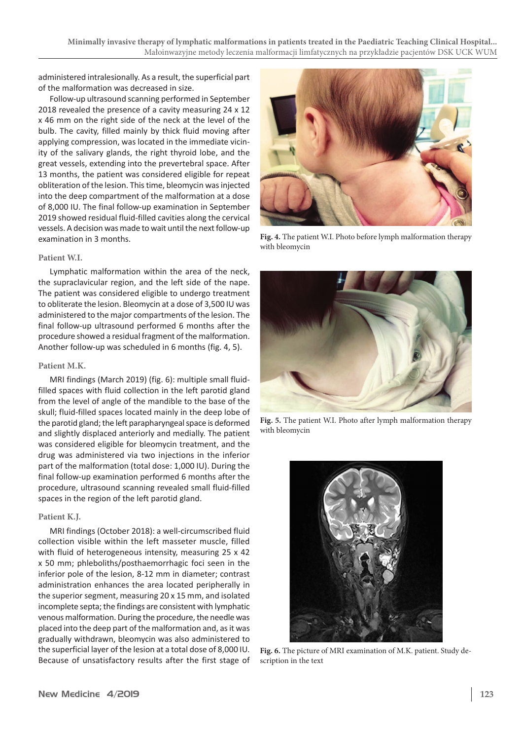administered intralesionally. As a result, the superficial part of the malformation was decreased in size.

Follow-up ultrasound scanning performed in September 2018 revealed the presence of a cavity measuring 24 x 12 x 46 mm on the right side of the neck at the level of the bulb. The cavity, filled mainly by thick fluid moving after applying compression, was located in the immediate vicinity of the salivary glands, the right thyroid lobe, and the great vessels, extending into the prevertebral space. After 13 months, the patient was considered eligible for repeat obliteration of the lesion. This time, bleomycin was injected into the deep compartment of the malformation at a dose of 8,000 IU. The final follow-up examination in September 2019 showed residual fluid-filled cavities along the cervical vessels. A decision was made to wait until the next follow-up examination in 3 months.

#### **Patient W.I.**

Lymphatic malformation within the area of the neck, the supraclavicular region, and the left side of the nape. The patient was considered eligible to undergo treatment to obliterate the lesion. Bleomycin at a dose of 3,500 IU was administered to the major compartments of the lesion. The final follow-up ultrasound performed 6 months after the procedure showed a residual fragment of the malformation. Another follow-up was scheduled in 6 months (fig. 4, 5).

#### **Patient M.K.**

MRI findings (March 2019) (fig. 6): multiple small fluidfilled spaces with fluid collection in the left parotid gland from the level of angle of the mandible to the base of the skull; fluid-filled spaces located mainly in the deep lobe of the parotid gland; the left parapharyngeal space is deformed and slightly displaced anteriorly and medially. The patient was considered eligible for bleomycin treatment, and the drug was administered via two injections in the inferior part of the malformation (total dose: 1,000 IU). During the final follow-up examination performed 6 months after the procedure, ultrasound scanning revealed small fluid-filled spaces in the region of the left parotid gland.

#### **Patient K.J.**

MRI findings (October 2018): a well-circumscribed fluid collection visible within the left masseter muscle, filled with fluid of heterogeneous intensity, measuring 25 x 42 x 50 mm; phleboliths/posthaemorrhagic foci seen in the inferior pole of the lesion, 8-12 mm in diameter; contrast administration enhances the area located peripherally in the superior segment, measuring 20 x 15 mm, and isolated incomplete septa; the findings are consistent with lymphatic venous malformation. During the procedure, the needle was placed into the deep part of the malformation and, as it was gradually withdrawn, bleomycin was also administered to the superficial layer of the lesion at a total dose of 8,000 IU. Because of unsatisfactory results after the first stage of



**Fig. 4.** The patient W.I. Photo before lymph malformation therapy with bleomycin



**Fig. 5.** The patient W.I. Photo after lymph malformation therapy with bleomycin



**Fig. 6.** The picture of MRI examination of M.K. patient. Study description in the text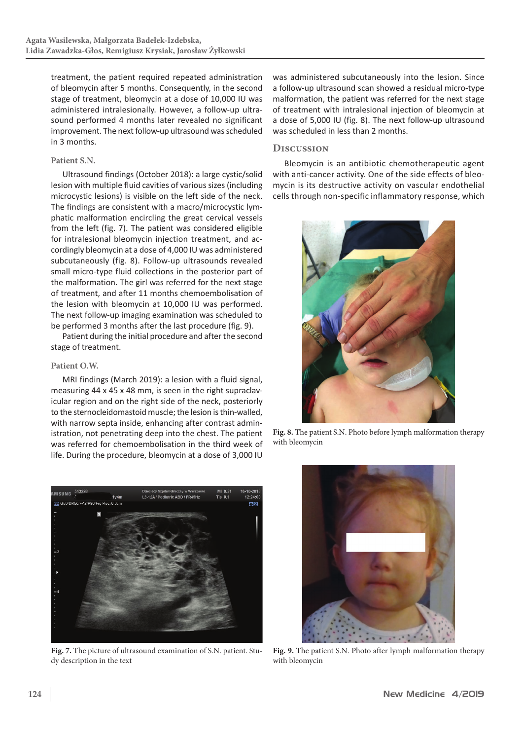treatment, the patient required repeated administration of bleomycin after 5 months. Consequently, in the second stage of treatment, bleomycin at a dose of 10,000 IU was administered intralesionally. However, a follow-up ultrasound performed 4 months later revealed no significant improvement. The next follow-up ultrasound was scheduled in 3 months.

#### **Patient S.N.**

Ultrasound findings (October 2018): a large cystic/solid lesion with multiple fluid cavities of various sizes(including microcystic lesions) is visible on the left side of the neck. The findings are consistent with a macro/microcystic lymphatic malformation encircling the great cervical vessels from the left (fig. 7). The patient was considered eligible for intralesional bleomycin injection treatment, and accordingly bleomycin at a dose of 4,000 IU was administered subcutaneously (fig. 8). Follow-up ultrasounds revealed small micro-type fluid collections in the posterior part of the malformation. The girl was referred for the next stage of treatment, and after 11 months chemoembolisation of the lesion with bleomycin at 10,000 IU was performed. The next follow-up imaging examination was scheduled to be performed 3 months after the last procedure (fig. 9).

Patient during the initial procedure and after the second stage of treatment.

#### **Patient O.W.**

MRI findings (March 2019): a lesion with a fluid signal, measuring 44 x 45 x 48 mm, is seen in the right supraclavicular region and on the right side of the neck, posteriorly to the sternocleidomastoid muscle; the lesion is thin-walled, with narrow septa inside, enhancing after contrast administration, not penetrating deep into the chest. The patient was referred for chemoembolisation in the third week of life. During the procedure, bleomycin at a dose of 3,000 IU



**Fig. 7.** The picture of ultrasound examination of S.N. patient. Study description in the text

was administered subcutaneously into the lesion. Since a follow-up ultrasound scan showed a residual micro-type malformation, the patient was referred for the next stage of treatment with intralesional injection of bleomycin at a dose of 5,000 IU (fig. 8). The next follow-up ultrasound was scheduled in less than 2 months.

#### **Discussion**

Bleomycin is an antibiotic chemotherapeutic agent with anti-cancer activity. One of the side effects of bleomycin is its destructive activity on vascular endothelial cells through non-specific inflammatory response, which



**Fig. 8.** The patient S.N. Photo before lymph malformation therapy with bleomycin



**Fig. 9.** The patient S.N. Photo after lymph malformation therapy with bleomycin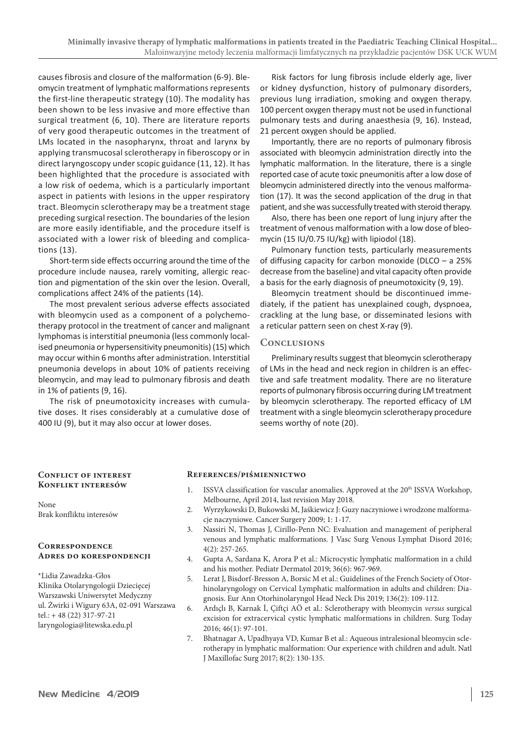causes fibrosis and closure of the malformation (6-9). Bleomycin treatment of lymphatic malformations represents the first-line therapeutic strategy (10). The modality has been shown to be less invasive and more effective than surgical treatment (6, 10). There are literature reports of very good therapeutic outcomes in the treatment of LMs located in the nasopharynx, throat and larynx by applying transmucosal sclerotherapy in fiberoscopy or in direct laryngoscopy under scopic guidance (11, 12). It has been highlighted that the procedure is associated with a low risk of oedema, which is a particularly important aspect in patients with lesions in the upper respiratory tract. Bleomycin sclerotherapy may be a treatment stage preceding surgical resection. The boundaries of the lesion are more easily identifiable, and the procedure itself is associated with a lower risk of bleeding and complications (13).

Short-term side effects occurring around the time of the procedure include nausea, rarely vomiting, allergic reaction and pigmentation of the skin over the lesion. Overall, complications affect 24% of the patients (14).

The most prevalent serious adverse effects associated with bleomycin used as a component of a polychemotherapy protocol in the treatment of cancer and malignant lymphomas is interstitial pneumonia (less commonly localised pneumonia or hypersensitivity pneumonitis) (15) which may occur within 6 months after administration. Interstitial pneumonia develops in about 10% of patients receiving bleomycin, and may lead to pulmonary fibrosis and death in 1% of patients (9, 16).

The risk of pneumotoxicity increases with cumulative doses. It rises considerably at a cumulative dose of 400 IU (9), but it may also occur at lower doses.

Risk factors for lung fibrosis include elderly age, liver or kidney dysfunction, history of pulmonary disorders, previous lung irradiation, smoking and oxygen therapy. 100 percent oxygen therapy must not be used in functional pulmonary tests and during anaesthesia (9, 16). Instead, 21 percent oxygen should be applied.

Importantly, there are no reports of pulmonary fibrosis associated with bleomycin administration directly into the lymphatic malformation. In the literature, there is a single reported case of acute toxic pneumonitis after a low dose of bleomycin administered directly into the venous malformation (17). It was the second application of the drug in that patient, and she was successfully treated with steroid therapy.

Also, there has been one report of lung injury after the treatment of venous malformation with a low dose of bleomycin (15 IU/0.75 IU/kg) with lipiodol (18).

Pulmonary function tests, particularly measurements of diffusing capacity for carbon monoxide (DLCO – a 25% decrease from the baseline) and vital capacity often provide a basis for the early diagnosis of pneumotoxicity (9, 19).

Bleomycin treatment should be discontinued immediately, if the patient has unexplained cough, dyspnoea, crackling at the lung base, or disseminated lesions with a reticular pattern seen on chest X-ray (9).

#### **Conclusions**

Preliminary results suggest that bleomycin sclerotherapy of LMs in the head and neck region in children is an effective and safe treatment modality. There are no literature reports of pulmonary fibrosis occurring during LM treatment by bleomycin sclerotherapy. The reported efficacy of LM treatment with a single bleomycin sclerotherapy procedure seems worthy of note (20).

#### **Conflict of interest Konflikt interesów**

None Brak konfliktu interesów

#### **Correspondence Adres do korespondencji**

\*Lidia Zawadzka-Głos Klinika Otolaryngologii Dziecięcej Warszawski Uniwersytet Medyczny ul. Żwirki i Wigury 63A, 02-091 Warszawa tel.: + 48 (22) 317-97-21 laryngologia@litewska.edu.pl

#### **References/piśmiennictwo**

- 1. ISSVA classification for vascular anomalies. Approved at the 20<sup>th</sup> ISSVA Workshop, Melbourne, April 2014, last revision May 2018.
- 2. Wyrzykowski D, Bukowski M, Jaśkiewicz J: Guzy naczyniowe i wrodzone malformacje naczyniowe. Cancer Surgery 2009; 1: 1-17.
- 3. Nassiri N, Thomas J, Cirillo-Penn NC: Evaluation and management of peripheral venous and lymphatic malformations. J Vasc Surg Venous Lymphat Disord 2016; 4(2): 257-265.
- 4. Gupta A, Sardana K, Arora P et al.: Microcystic lymphatic malformation in a child and his mother. Pediatr Dermatol 2019; 36(6): 967-969.
- 5. Lerat J, Bisdorf-Bresson A, Borsic M et al.: Guidelines of the French Society of Otorhinolaryngology on Cervical Lymphatic malformation in adults and children: Diagnosis. Eur Ann Otorhinolaryngol Head Neck Dis 2019; 136(2): 109-112.
- 6. Ardıçlı B, Karnak İ, Çiftçi AÖ et al.: Sclerotherapy with bleomycin *versus* surgical excision for extracervical cystic lymphatic malformations in children. Surg Today 2016; 46(1): 97-101.
- 7. Bhatnagar A, Upadhyaya VD, Kumar B et al.: Aqueous intralesional bleomycin sclerotherapy in lymphatic malformation: Our experience with children and adult. Natl J Maxillofac Surg 2017; 8(2): 130-135.